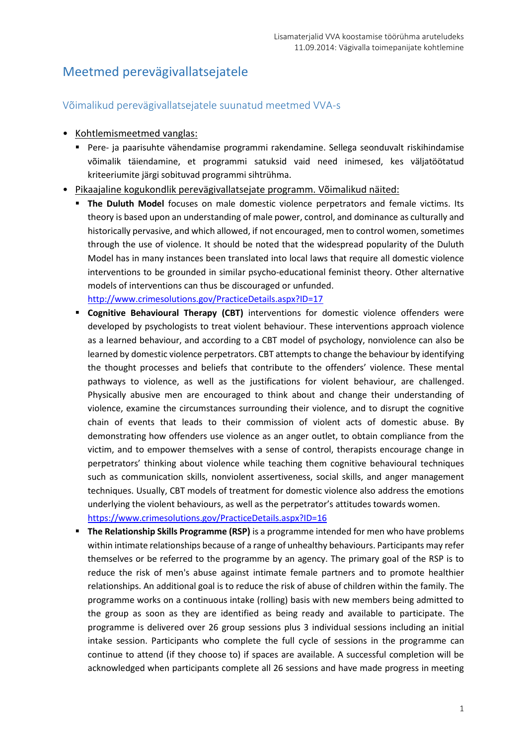# Meetmed perevägivallatsejatele

## Võimalikud perevägivallatsejatele suunatud meetmed VVA-s

- Kohtlemismeetmed vanglas:
	- Pere- ja paarisuhte vähendamise programmi rakendamine. Sellega seonduvalt riskihindamise võimalik täiendamine, et programmi satuksid vaid need inimesed, kes väljatöötatud kriteeriumite järgi sobituvad programmi sihtrühma.
- Pikaajaline kogukondlik perevägivallatsejate programm. Võimalikud näited:
	- **The Duluth Model** focuses on male domestic violence perpetrators and female victims. Its theory is based upon an understanding of male power, control, and dominance as culturally and historically pervasive, and which allowed, if not encouraged, men to control women, sometimes through the use of violence. It should be noted that the widespread popularity of the Duluth Model has in many instances been translated into local laws that require all domestic violence interventions to be grounded in similar psycho-educational feminist theory. Other alternative models of interventions can thus be discouraged or unfunded.

<http://www.crimesolutions.gov/PracticeDetails.aspx?ID=17>

- **Cognitive Behavioural Therapy (CBT)** interventions for domestic violence offenders were developed by psychologists to treat violent behaviour. These interventions approach violence as a learned behaviour, and according to a CBT model of psychology, nonviolence can also be learned by domestic violence perpetrators. CBT attempts to change the behaviour by identifying the thought processes and beliefs that contribute to the offenders' violence. These mental pathways to violence, as well as the justifications for violent behaviour, are challenged. Physically abusive men are encouraged to think about and change their understanding of violence, examine the circumstances surrounding their violence, and to disrupt the cognitive chain of events that leads to their commission of violent acts of domestic abuse. By demonstrating how offenders use violence as an anger outlet, to obtain compliance from the victim, and to empower themselves with a sense of control, therapists encourage change in perpetrators' thinking about violence while teaching them cognitive behavioural techniques such as communication skills, nonviolent assertiveness, social skills, and anger management techniques. Usually, CBT models of treatment for domestic violence also address the emotions underlying the violent behaviours, as well as the perpetrator's attitudes towards women. <https://www.crimesolutions.gov/PracticeDetails.aspx?ID=16>
- **The Relationship Skills Programme (RSP)** is a programme intended for men who have problems within intimate relationships because of a range of unhealthy behaviours. Participants may refer themselves or be referred to the programme by an agency. The primary goal of the RSP is to reduce the risk of men's abuse against intimate female partners and to promote healthier relationships. An additional goal is to reduce the risk of abuse of children within the family. The programme works on a continuous intake (rolling) basis with new members being admitted to the group as soon as they are identified as being ready and available to participate. The programme is delivered over 26 group sessions plus 3 individual sessions including an initial intake session. Participants who complete the full cycle of sessions in the programme can continue to attend (if they choose to) if spaces are available. A successful completion will be acknowledged when participants complete all 26 sessions and have made progress in meeting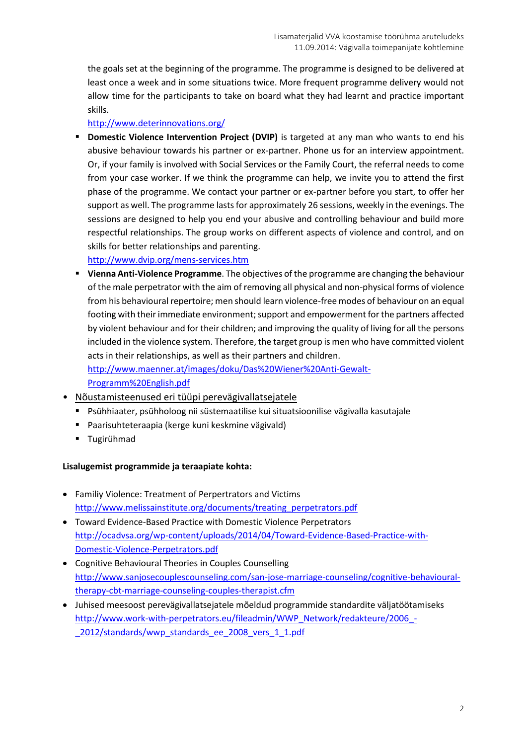the goals set at the beginning of the programme. The programme is designed to be delivered at least once a week and in some situations twice. More frequent programme delivery would not allow time for the participants to take on board what they had learnt and practice important skills.

<http://www.deterinnovations.org/>

**Domestic Violence Intervention Project (DVIP)** is targeted at any man who wants to end his abusive behaviour towards his partner or ex-partner. Phone us for an interview appointment. Or, if your family is involved with Social Services or the Family Court, the referral needs to come from your case worker. If we think the programme can help, we invite you to attend the first phase of the programme. We contact your partner or ex-partner before you start, to offer her support as well. The programme lasts for approximately 26 sessions, weekly in the evenings. The sessions are designed to help you end your abusive and controlling behaviour and build more respectful relationships. The group works on different aspects of violence and control, and on skills for better relationships and parenting.

<http://www.dvip.org/mens-services.htm>

 **Vienna Anti-Violence Programme**. The objectives of the programme are changing the behaviour of the male perpetrator with the aim of removing all physical and non-physical forms of violence from his behavioural repertoire; men should learn violence-free modes of behaviour on an equal footing with their immediate environment; support and empowerment for the partners affected by violent behaviour and for their children; and improving the quality of living for all the persons included in the violence system. Therefore, the target group is men who have committed violent acts in their relationships, as well as their partners and children. [http://www.maenner.at/images/doku/Das%20Wiener%20Anti-Gewalt-](http://www.maenner.at/images/doku/Das%20Wiener%20Anti-Gewalt-Programm%20English.pdf)

[Programm%20English.pdf](http://www.maenner.at/images/doku/Das%20Wiener%20Anti-Gewalt-Programm%20English.pdf)

- Nõustamisteenused eri tüüpi perevägivallatsejatele
	- Psühhiaater, psühholoog nii süstemaatilise kui situatsioonilise vägivalla kasutajale
	- Paarisuhteteraapia (kerge kuni keskmine vägivald)
	- **Tugirühmad**

### **Lisalugemist programmide ja teraapiate kohta:**

- Familiy Violence: Treatment of Perpertrators and Victims [http://www.melissainstitute.org/documents/treating\\_perpetrators.pdf](http://www.melissainstitute.org/documents/treating_perpetrators.pdf)
- Toward Evidence-Based Practice with Domestic Violence Perpetrators [http://ocadvsa.org/wp-content/uploads/2014/04/Toward-Evidence-Based-Practice-with-](http://ocadvsa.org/wp-content/uploads/2014/04/Toward-Evidence-Based-Practice-with-Domestic-Violence-Perpetrators.pdf)[Domestic-Violence-Perpetrators.pdf](http://ocadvsa.org/wp-content/uploads/2014/04/Toward-Evidence-Based-Practice-with-Domestic-Violence-Perpetrators.pdf)
- Cognitive Behavioural Theories in Couples Counselling [http://www.sanjosecouplescounseling.com/san-jose-marriage-counseling/cognitive-behavioural](http://www.sanjosecouplescounseling.com/san-jose-marriage-counseling/cognitive-behavioral-therapy-cbt-marriage-counseling-couples-therapist.cfm)[therapy-cbt-marriage-counseling-couples-therapist.cfm](http://www.sanjosecouplescounseling.com/san-jose-marriage-counseling/cognitive-behavioral-therapy-cbt-marriage-counseling-couples-therapist.cfm)
- Juhised meesoost perevägivallatsejatele mõeldud programmide standardite väljatöötamiseks [http://www.work-with-perpetrators.eu/fileadmin/WWP\\_Network/redakteure/2006\\_-](http://www.work-with-perpetrators.eu/fileadmin/WWP_Network/redakteure/2006_-_2012/standards/wwp_standards_ee_2008_vers_1_1.pdf) 2012/standards/wwp\_standards\_ee\_2008\_vers\_1\_1.pdf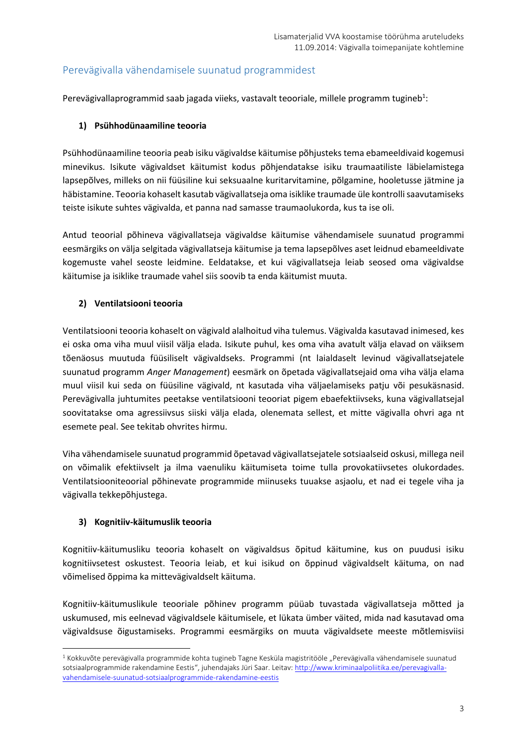## Perevägivalla vähendamisele suunatud programmidest

Perevägivallaprogrammid saab jagada viieks, vastavalt teooriale, millele programm tugineb<sup>1</sup>:

## **1) Psühhodünaamiline teooria**

Psühhodünaamiline teooria peab isiku vägivaldse käitumise põhjusteks tema ebameeldivaid kogemusi minevikus. Isikute vägivaldset käitumist kodus põhjendatakse isiku traumaatiliste läbielamistega lapsepõlves, milleks on nii füüsiline kui seksuaalne kuritarvitamine, põlgamine, hooletusse jätmine ja häbistamine. Teooria kohaselt kasutab vägivallatseja oma isiklike traumade üle kontrolli saavutamiseks teiste isikute suhtes vägivalda, et panna nad samasse traumaolukorda, kus ta ise oli.

Antud teoorial põhineva vägivallatseja vägivaldse käitumise vähendamisele suunatud programmi eesmärgiks on välja selgitada vägivallatseja käitumise ja tema lapsepõlves aset leidnud ebameeldivate kogemuste vahel seoste leidmine. Eeldatakse, et kui vägivallatseja leiab seosed oma vägivaldse käitumise ja isiklike traumade vahel siis soovib ta enda käitumist muuta.

## **2) Ventilatsiooni teooria**

Ventilatsiooni teooria kohaselt on vägivald alalhoitud viha tulemus. Vägivalda kasutavad inimesed, kes ei oska oma viha muul viisil välja elada. Isikute puhul, kes oma viha avatult välja elavad on väiksem tõenäosus muutuda füüsiliselt vägivaldseks. Programmi (nt laialdaselt levinud vägivallatsejatele suunatud programm *Anger Management*) eesmärk on õpetada vägivallatsejaid oma viha välja elama muul viisil kui seda on füüsiline vägivald, nt kasutada viha väljaelamiseks patju või pesukäsnasid. Perevägivalla juhtumites peetakse ventilatsiooni teooriat pigem ebaefektiivseks, kuna vägivallatsejal soovitatakse oma agressiivsus siiski välja elada, olenemata sellest, et mitte vägivalla ohvri aga nt esemete peal. See tekitab ohvrites hirmu.

Viha vähendamisele suunatud programmid õpetavad vägivallatsejatele sotsiaalseid oskusi, millega neil on võimalik efektiivselt ja ilma vaenuliku käitumiseta toime tulla provokatiivsetes olukordades. Ventilatsiooniteoorial põhinevate programmide miinuseks tuuakse asjaolu, et nad ei tegele viha ja vägivalla tekkepõhjustega.

### **3) Kognitiiv-käitumuslik teooria**

 $\overline{a}$ 

Kognitiiv-käitumusliku teooria kohaselt on vägivaldsus õpitud käitumine, kus on puudusi isiku kognitiivsetest oskustest. Teooria leiab, et kui isikud on õppinud vägivaldselt käituma, on nad võimelised õppima ka mittevägivaldselt käituma.

Kognitiiv-käitumuslikule teooriale põhinev programm püüab tuvastada vägivallatseja mõtted ja uskumused, mis eelnevad vägivaldsele käitumisele, et lükata ümber väited, mida nad kasutavad oma vägivaldsuse õigustamiseks. Programmi eesmärgiks on muuta vägivaldsete meeste mõtlemisviisi

 $1$  Kokkuvõte perevägivalla programmide kohta tugineb Tagne Kesküla magistritööle "Perevägivalla vähendamisele suunatud sotsiaalprogrammide rakendamine Eestis", juhendajaks Jüri Saar. Leitav: [http://www.kriminaalpoliitika.ee/perevagivalla](http://www.kriminaalpoliitika.ee/perevagivalla-vahendamisele-suunatud-sotsiaalprogrammide-rakendamine-eestis)[vahendamisele-suunatud-sotsiaalprogrammide-rakendamine-eestis](http://www.kriminaalpoliitika.ee/perevagivalla-vahendamisele-suunatud-sotsiaalprogrammide-rakendamine-eestis)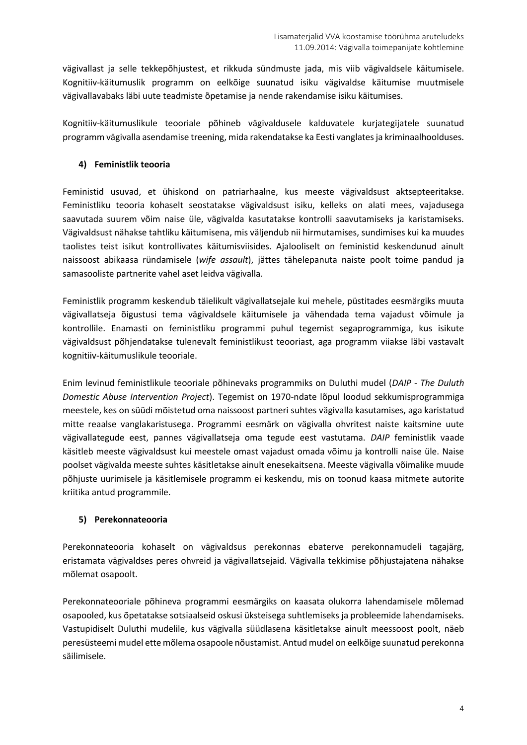vägivallast ja selle tekkepõhjustest, et rikkuda sündmuste jada, mis viib vägivaldsele käitumisele. Kognitiiv-käitumuslik programm on eelkõige suunatud isiku vägivaldse käitumise muutmisele vägivallavabaks läbi uute teadmiste õpetamise ja nende rakendamise isiku käitumises.

Kognitiiv-käitumuslikule teooriale põhineb vägivaldusele kalduvatele kurjategijatele suunatud programm vägivalla asendamise treening, mida rakendatakse ka Eesti vanglates ja kriminaalhoolduses.

## **4) Feministlik teooria**

Feministid usuvad, et ühiskond on patriarhaalne, kus meeste vägivaldsust aktsepteeritakse. Feministliku teooria kohaselt seostatakse vägivaldsust isiku, kelleks on alati mees, vajadusega saavutada suurem võim naise üle, vägivalda kasutatakse kontrolli saavutamiseks ja karistamiseks. Vägivaldsust nähakse tahtliku käitumisena, mis väljendub nii hirmutamises, sundimises kui ka muudes taolistes teist isikut kontrollivates käitumisviisides. Ajalooliselt on feministid keskendunud ainult naissoost abikaasa ründamisele (*wife assault*), jättes tähelepanuta naiste poolt toime pandud ja samasooliste partnerite vahel aset leidva vägivalla.

Feministlik programm keskendub täielikult vägivallatsejale kui mehele, püstitades eesmärgiks muuta vägivallatseja õigustusi tema vägivaldsele käitumisele ja vähendada tema vajadust võimule ja kontrollile. Enamasti on feministliku programmi puhul tegemist segaprogrammiga, kus isikute vägivaldsust põhjendatakse tulenevalt feministlikust teooriast, aga programm viiakse läbi vastavalt kognitiiv-käitumuslikule teooriale.

Enim levinud feministlikule teooriale põhinevaks programmiks on Duluthi mudel (*DAIP - The Duluth Domestic Abuse Intervention Project*). Tegemist on 1970-ndate lõpul loodud sekkumisprogrammiga meestele, kes on süüdi mõistetud oma naissoost partneri suhtes vägivalla kasutamises, aga karistatud mitte reaalse vanglakaristusega. Programmi eesmärk on vägivalla ohvritest naiste kaitsmine uute vägivallategude eest, pannes vägivallatseja oma tegude eest vastutama. *DAIP* feministlik vaade käsitleb meeste vägivaldsust kui meestele omast vajadust omada võimu ja kontrolli naise üle. Naise poolset vägivalda meeste suhtes käsitletakse ainult enesekaitsena. Meeste vägivalla võimalike muude põhjuste uurimisele ja käsitlemisele programm ei keskendu, mis on toonud kaasa mitmete autorite kriitika antud programmile.

### **5) Perekonnateooria**

Perekonnateooria kohaselt on vägivaldsus perekonnas ebaterve perekonnamudeli tagajärg, eristamata vägivaldses peres ohvreid ja vägivallatsejaid. Vägivalla tekkimise põhjustajatena nähakse mõlemat osapoolt.

Perekonnateooriale põhineva programmi eesmärgiks on kaasata olukorra lahendamisele mõlemad osapooled, kus õpetatakse sotsiaalseid oskusi üksteisega suhtlemiseks ja probleemide lahendamiseks. Vastupidiselt Duluthi mudelile, kus vägivalla süüdlasena käsitletakse ainult meessoost poolt, näeb peresüsteemi mudel ette mõlema osapoole nõustamist. Antud mudel on eelkõige suunatud perekonna säilimisele.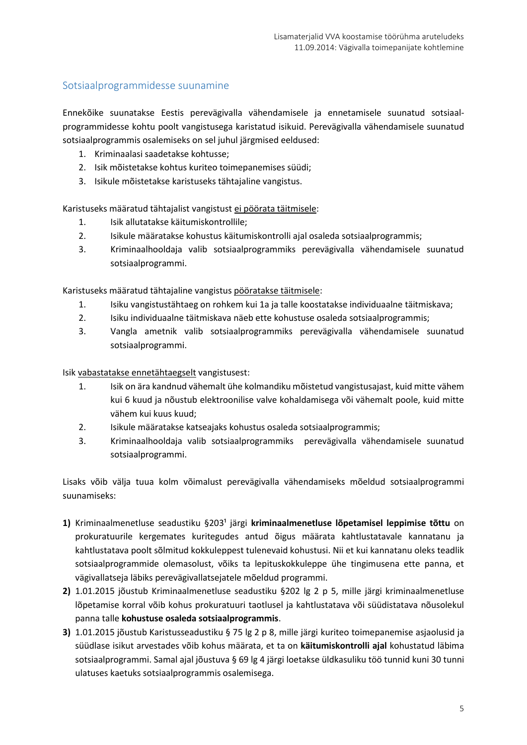## Sotsiaalprogrammidesse suunamine

Ennekõike suunatakse Eestis perevägivalla vähendamisele ja ennetamisele suunatud sotsiaalprogrammidesse kohtu poolt vangistusega karistatud isikuid. Perevägivalla vähendamisele suunatud sotsiaalprogrammis osalemiseks on sel juhul järgmised eeldused:

- 1. Kriminaalasi saadetakse kohtusse;
- 2. Isik mõistetakse kohtus kuriteo toimepanemises süüdi;
- 3. Isikule mõistetakse karistuseks tähtajaline vangistus.

Karistuseks määratud tähtajalist vangistust ei pöörata täitmisele:

- 1. Isik allutatakse käitumiskontrollile;
- 2. Isikule määratakse kohustus käitumiskontrolli ajal osaleda sotsiaalprogrammis;
- 3. Kriminaalhooldaja valib sotsiaalprogrammiks perevägivalla vähendamisele suunatud sotsiaalprogrammi.

Karistuseks määratud tähtajaline vangistus pööratakse täitmisele:

- 1. Isiku vangistustähtaeg on rohkem kui 1a ja talle koostatakse individuaalne täitmiskava;
- 2. Isiku individuaalne täitmiskava näeb ette kohustuse osaleda sotsiaalprogrammis;
- 3. Vangla ametnik valib sotsiaalprogrammiks perevägivalla vähendamisele suunatud sotsiaalprogrammi.

Isik vabastatakse ennetähtaegselt vangistusest:

- 1. Isik on ära kandnud vähemalt ühe kolmandiku mõistetud vangistusajast, kuid mitte vähem kui 6 kuud ja nõustub elektroonilise valve kohaldamisega või vähemalt poole, kuid mitte vähem kui kuus kuud;
- 2. Isikule määratakse katseajaks kohustus osaleda sotsiaalprogrammis;
- 3. Kriminaalhooldaja valib sotsiaalprogrammiks perevägivalla vähendamisele suunatud sotsiaalprogrammi.

Lisaks võib välja tuua kolm võimalust perevägivalla vähendamiseks mõeldud sotsiaalprogrammi suunamiseks:

- 1) Kriminaalmenetluse seadustiku §203<sup>1</sup> järgi kriminaalmenetluse lõpetamisel leppimise tõttu on prokuratuurile kergemates kuritegudes antud õigus määrata kahtlustatavale kannatanu ja kahtlustatava poolt sõlmitud kokkuleppest tulenevaid kohustusi. Nii et kui kannatanu oleks teadlik sotsiaalprogrammide olemasolust, võiks ta lepituskokkuleppe ühe tingimusena ette panna, et vägivallatseja läbiks perevägivallatsejatele mõeldud programmi.
- **2)** 1.01.2015 jõustub Kriminaalmenetluse seadustiku §202 lg 2 p 5, mille järgi kriminaalmenetluse lõpetamise korral võib kohus prokuratuuri taotlusel ja kahtlustatava või süüdistatava nõusolekul panna talle **kohustuse osaleda sotsiaalprogrammis**.
- **3)** 1.01.2015 jõustub Karistusseadustiku § 75 lg 2 p 8, mille järgi kuriteo toimepanemise asjaolusid ja süüdlase isikut arvestades võib kohus määrata, et ta on **käitumiskontrolli ajal** kohustatud läbima sotsiaalprogrammi. Samal ajal jõustuva § 69 lg 4 järgi loetakse üldkasuliku töö tunnid kuni 30 tunni ulatuses kaetuks sotsiaalprogrammis osalemisega.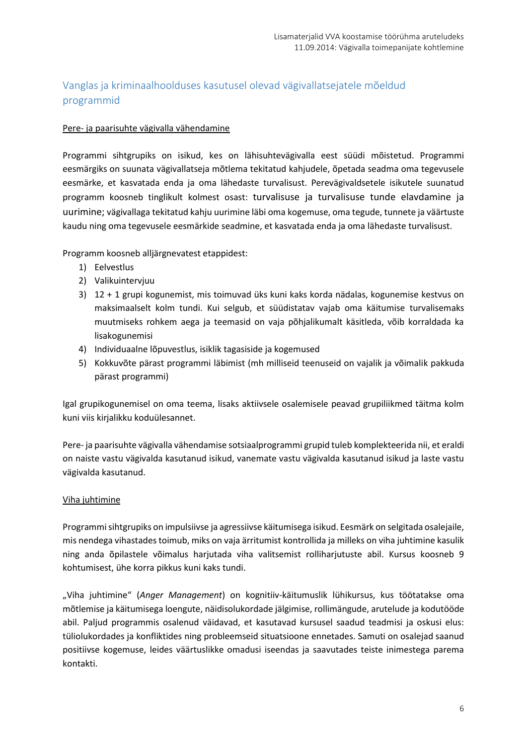## Vanglas ja kriminaalhoolduses kasutusel olevad vägivallatsejatele mõeldud programmid

#### Pere- ja paarisuhte vägivalla vähendamine

Programmi sihtgrupiks on isikud, kes on lähisuhtevägivalla eest süüdi mõistetud. Programmi eesmärgiks on suunata vägivallatseja mõtlema tekitatud kahjudele, õpetada seadma oma tegevusele eesmärke, et kasvatada enda ja oma lähedaste turvalisust. Perevägivaldsetele isikutele suunatud programm koosneb tinglikult kolmest osast: turvalisuse ja turvalisuse tunde elavdamine ja uurimine; vägivallaga tekitatud kahju uurimine läbi oma kogemuse, oma tegude, tunnete ja väärtuste kaudu ning oma tegevusele eesmärkide seadmine, et kasvatada enda ja oma lähedaste turvalisust.

Programm koosneb alljärgnevatest etappidest:

- 1) Eelvestlus
- 2) Valikuintervjuu
- 3) 12 + 1 grupi kogunemist, mis toimuvad üks kuni kaks korda nädalas, kogunemise kestvus on maksimaalselt kolm tundi. Kui selgub, et süüdistatav vajab oma käitumise turvalisemaks muutmiseks rohkem aega ja teemasid on vaja põhjalikumalt käsitleda, võib korraldada ka lisakogunemisi
- 4) Individuaalne lõpuvestlus, isiklik tagasiside ja kogemused
- 5) Kokkuvõte pärast programmi läbimist (mh milliseid teenuseid on vajalik ja võimalik pakkuda pärast programmi)

Igal grupikogunemisel on oma teema, lisaks aktiivsele osalemisele peavad grupiliikmed täitma kolm kuni viis kirjalikku koduülesannet.

Pere- ja paarisuhte vägivalla vähendamise sotsiaalprogrammi grupid tuleb komplekteerida nii, et eraldi on naiste vastu vägivalda kasutanud isikud, vanemate vastu vägivalda kasutanud isikud ja laste vastu vägivalda kasutanud.

#### Viha juhtimine

Programmi sihtgrupiks on impulsiivse ja agressiivse käitumisega isikud. Eesmärk on selgitada osalejaile, mis nendega vihastades toimub, miks on vaja ärritumist kontrollida ja milleks on viha juhtimine kasulik ning anda õpilastele võimalus harjutada viha valitsemist rolliharjutuste abil. Kursus koosneb 9 kohtumisest, ühe korra pikkus kuni kaks tundi.

"Viha juhtimine" (*Anger Management*) on kognitiiv-käitumuslik lühikursus, kus töötatakse oma mõtlemise ja käitumisega loengute, näidisolukordade jälgimise, rollimängude, arutelude ja kodutööde abil. Paljud programmis osalenud väidavad, et kasutavad kursusel saadud teadmisi ja oskusi elus: tüliolukordades ja konfliktides ning probleemseid situatsioone ennetades. Samuti on osalejad saanud positiivse kogemuse, leides väärtuslikke omadusi iseendas ja saavutades teiste inimestega parema kontakti.